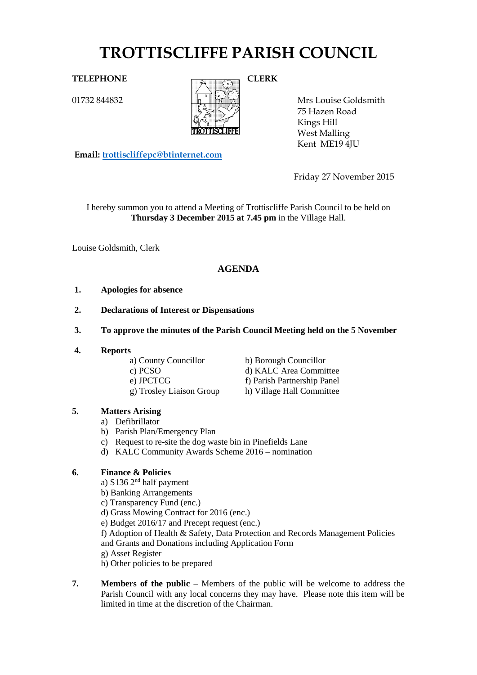# **TROTTISCLIFFE PARISH COUNCIL**

01732 844832



Mrs Louise Goldsmith 75 Hazen Road Kings Hill West Malling Kent ME19 4JU

**Email: [trottiscliffepc@btinternet.com](mailto:trottiscliffepc@btinternet.com)**

Friday 27 November 2015

I hereby summon you to attend a Meeting of Trottiscliffe Parish Council to be held on **Thursday 3 December 2015 at 7.45 pm** in the Village Hall.

Louise Goldsmith, Clerk

## **AGENDA**

- **1. Apologies for absence**
- **2. Declarations of Interest or Dispensations**
- **3. To approve the minutes of the Parish Council Meeting held on the 5 November**
- **4. Reports**

a) County Councillor b) Borough Councillor g) Trosley Liaison Group h) Village Hall Committee

c) PCSO d) KALC Area Committee e) JPCTCG f) Parish Partnership Panel

#### **5. Matters Arising**

- a) Defibrillator
- b) Parish Plan/Emergency Plan
- c) Request to re-site the dog waste bin in Pinefields Lane
- d) KALC Community Awards Scheme 2016 nomination

#### **6. Finance & Policies**

- a)  $S136$   $2<sup>nd</sup>$  half payment
- b) Banking Arrangements
- c) Transparency Fund (enc.)
- d) Grass Mowing Contract for 2016 (enc.)
- e) Budget 2016/17 and Precept request (enc.)
- f) Adoption of Health & Safety, Data Protection and Records Management Policies and Grants and Donations including Application Form
- g) Asset Register
- h) Other policies to be prepared
- **7. Members of the public** Members of the public will be welcome to address the Parish Council with any local concerns they may have. Please note this item will be limited in time at the discretion of the Chairman.